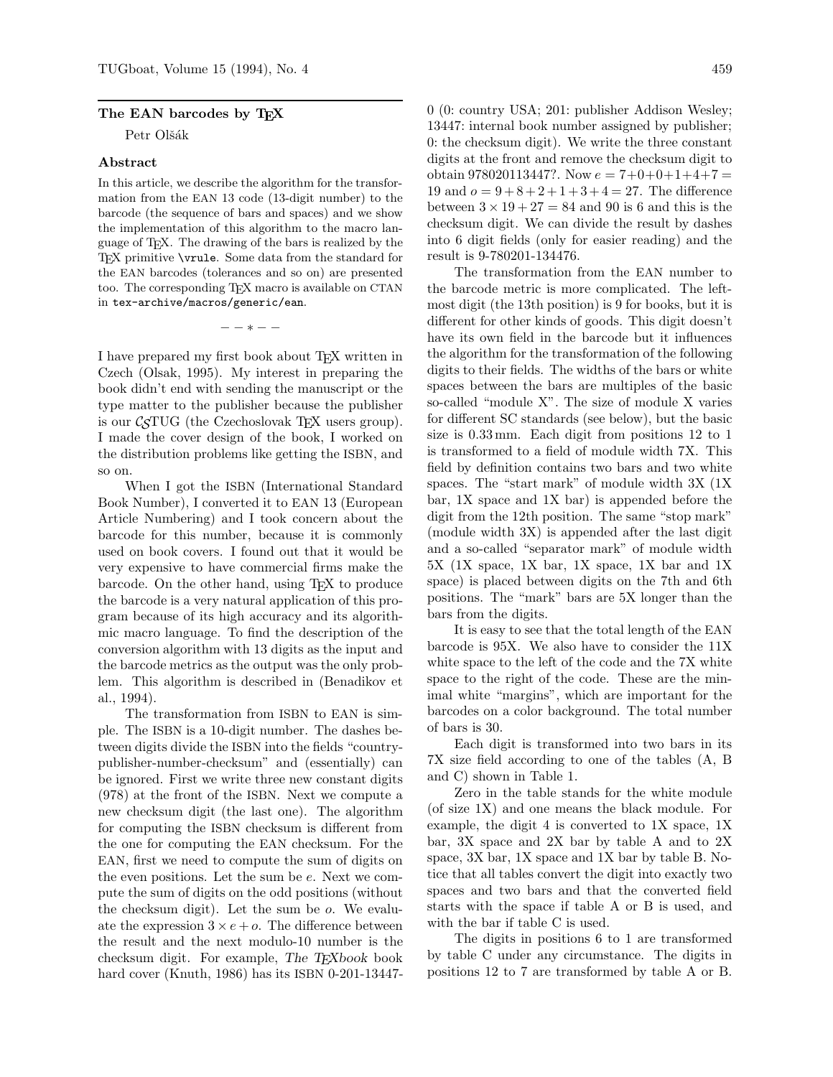## **The EAN barcodes by TEX**

Petr Olšák

## **Abstract**

In this article, we describe the algorithm for the transformation from the EAN 13 code (13-digit number) to the barcode (the sequence of bars and spaces) and we show the implementation of this algorithm to the macro language of TEX. The drawing of the bars is realized by the TEX primitive \vrule. Some data from the standard for the EAN barcodes (tolerances and so on) are presented too. The corresponding TEX macro is available on CTAN in tex-archive/macros/generic/ean.

−−∗−−

I have prepared my first book about TEX written in Czech (Olsak, 1995). My interest in preparing the book didn't end with sending the manuscript or the type matter to the publisher because the publisher is our  $\mathcal{C}STUG$  (the Czechoslovak TFX users group). I made the cover design of the book, I worked on the distribution problems like getting the ISBN, and so on.

When I got the ISBN (International Standard Book Number), I converted it to EAN 13 (European Article Numbering) and I took concern about the barcode for this number, because it is commonly used on book covers. I found out that it would be very expensive to have commercial firms make the barcode. On the other hand, using TEX to produce the barcode is a very natural application of this program because of its high accuracy and its algorithmic macro language. To find the description of the conversion algorithm with 13 digits as the input and the barcode metrics as the output was the only problem. This algorithm is described in (Benadikov et al., 1994).

The transformation from ISBN to EAN is simple. The ISBN is a 10-digit number. The dashes between digits divide the ISBN into the fields "countrypublisher-number-checksum" and (essentially) can be ignored. First we write three new constant digits (978) at the front of the ISBN. Next we compute a new checksum digit (the last one). The algorithm for computing the ISBN checksum is different from the one for computing the EAN checksum. For the EAN, first we need to compute the sum of digits on the even positions. Let the sum be e. Next we compute the sum of digits on the odd positions (without the checksum digit). Let the sum be o. We evaluate the expression  $3 \times e + o$ . The difference between the result and the next modulo-10 number is the checksum digit. For example, *The TEXbook* book hard cover (Knuth, 1986) has its ISBN 0-201-134470 (0: country USA; 201: publisher Addison Wesley; 13447: internal book number assigned by publisher; 0: the checksum digit). We write the three constant digits at the front and remove the checksum digit to obtain 978020113447?. Now  $e = 7+0+0+1+4+7 =$ 19 and  $o = 9+8+2+1+3+4 = 27$ . The difference between  $3 \times 19 + 27 = 84$  and 90 is 6 and this is the checksum digit. We can divide the result by dashes into 6 digit fields (only for easier reading) and the result is 9-780201-134476.

The transformation from the EAN number to the barcode metric is more complicated. The leftmost digit (the 13th position) is 9 for books, but it is different for other kinds of goods. This digit doesn't have its own field in the barcode but it influences the algorithm for the transformation of the following digits to their fields. The widths of the bars or white spaces between the bars are multiples of the basic so-called "module X". The size of module X varies for different SC standards (see below), but the basic size is 0.33mm. Each digit from positions 12 to 1 is transformed to a field of module width 7X. This field by definition contains two bars and two white spaces. The "start mark" of module width 3X (1X bar, 1X space and 1X bar) is appended before the digit from the 12th position. The same "stop mark" (module width 3X) is appended after the last digit and a so-called "separator mark" of module width 5X (1X space, 1X bar, 1X space, 1X bar and 1X space) is placed between digits on the 7th and 6th positions. The "mark" bars are 5X longer than the bars from the digits.

It is easy to see that the total length of the EAN barcode is 95X. We also have to consider the 11X white space to the left of the code and the 7X white space to the right of the code. These are the minimal white "margins", which are important for the barcodes on a color background. The total number of bars is 30.

Each digit is transformed into two bars in its 7X size field according to one of the tables (A, B and C) shown in Table 1.

Zero in the table stands for the white module (of size 1X) and one means the black module. For example, the digit 4 is converted to 1X space, 1X bar, 3X space and 2X bar by table A and to 2X space, 3X bar, 1X space and 1X bar by table B. Notice that all tables convert the digit into exactly two spaces and two bars and that the converted field starts with the space if table A or B is used, and with the bar if table C is used.

The digits in positions 6 to 1 are transformed by table C under any circumstance. The digits in positions 12 to 7 are transformed by table A or B.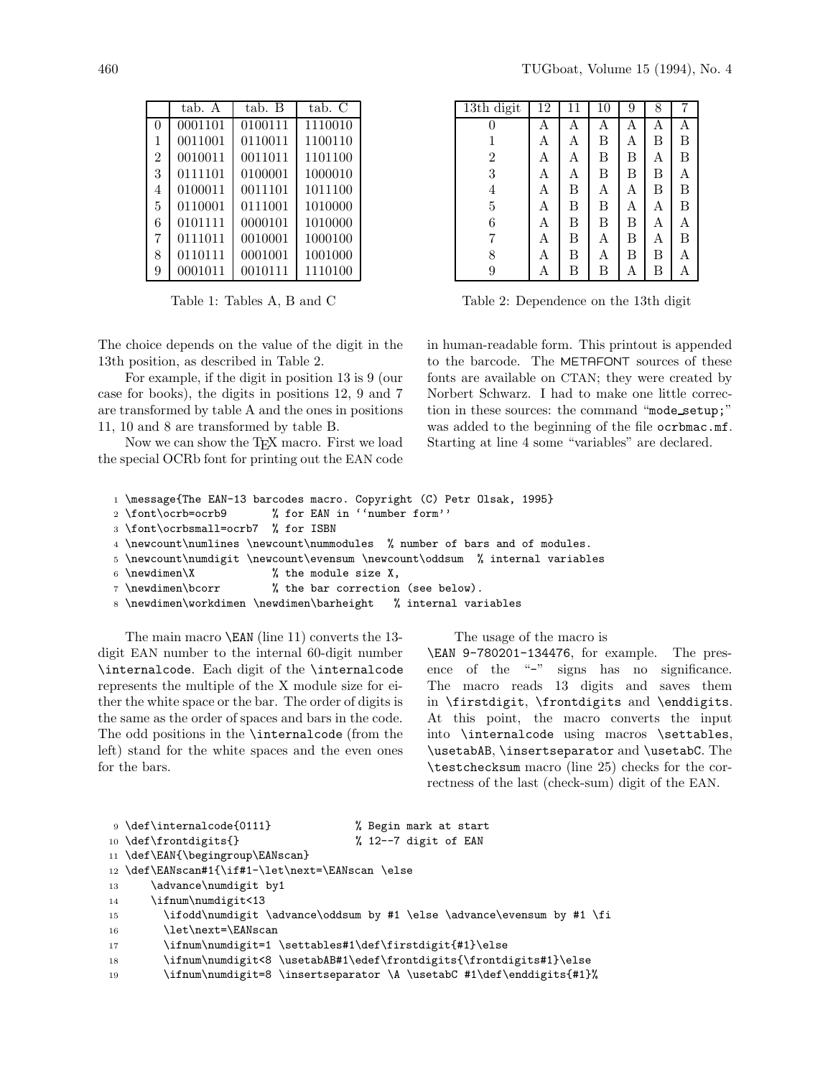| $\overline{2}$ | 0010011 | 0011011 | 1101100 |
|----------------|---------|---------|---------|
| 3              | 0111101 | 0100001 | 1000010 |
| 4              | 0100011 | 0011101 | 1011100 |
| 5              | 0110001 | 0111001 | 1010000 |
| 6              | 0101111 | 0000101 | 1010000 |
| 7              | 0111011 | 0010001 | 1000100 |
| 8              | 0110111 | 0001001 | 1001000 |
| 9              | 0001011 | 0010111 | 1110100 |

Table 1: Tables A, B and C

The choice depends on the value of the digit in the 13th position, as described in Table 2.

For example, if the digit in position 13 is 9 (our case for books), the digits in positions 12, 9 and 7 are transformed by table A and the ones in positions 11, 10 and 8 are transformed by table B.

Now we can show the T<sub>F</sub>X macro. First we load the special OCRb font for printing out the EAN code

| 13th digit     | 12 | 11 | 10 | 9 | 8 | 7 |
|----------------|----|----|----|---|---|---|
| 0              | Α  | А  | Α  | А | Α | А |
| 1              | A  | A  | Β  | Α | Β | B |
| $\overline{2}$ | Α  | Α  | Β  | Β | Α | B |
| 3              | Α  | Α  | Β  | Β | Β | А |
| $\overline{4}$ | Α  | Β  | Α  | Α | Β | B |
| $\overline{5}$ | Α  | B  | Β  | А | Α | B |
| 6              | Α  | Β  | Β  | Β | Α | А |
| 7              | Α  | B  | Α  | B | Α | B |
| 8              | Α  | B  | Α  | Β | B | Α |
| 9              | А  | Β  | Β  | А | Β | А |

Table 2: Dependence on the 13th digit

in human-readable form. This printout is appended to the barcode. The METAFONT sources of these fonts are available on CTAN; they were created by Norbert Schwarz. I had to make one little correction in these sources: the command "mode setup;" was added to the beginning of the file ocrbmac.mf. Starting at line 4 some "variables" are declared.

| 1 \message{The EAN-13 barcodes macro. Copyright (C) Petr Olsak, 1995} |  |  |  |  |  |  |  |  |  |  |
|-----------------------------------------------------------------------|--|--|--|--|--|--|--|--|--|--|
|-----------------------------------------------------------------------|--|--|--|--|--|--|--|--|--|--|

- <sup>2</sup> \font\ocrb=ocrb9 % for EAN in ''number form''
- <sup>3</sup> \font\ocrbsmall=ocrb7 % for ISBN
- <sup>4</sup> \newcount\numlines \newcount\nummodules % number of bars and of modules.
- <sup>5</sup> \newcount\numdigit \newcount\evensum \newcount\oddsum % internal variables
- 6 \newdimen\X  $\%$  the module size X,
- <sup>7</sup> \newdimen\bcorr % the bar correction (see below).

<sup>8</sup> \newdimen\workdimen \newdimen\barheight % internal variables

The main macro \EAN (line 11) converts the 13 digit EAN number to the internal 60-digit number \internalcode. Each digit of the \internalcode represents the multiple of the X module size for either the white space or the bar. The order of digits is the same as the order of spaces and bars in the code. The odd positions in the \internalcode (from the left) stand for the white spaces and the even ones for the bars.

The usage of the macro is

\EAN 9-780201-134476, for example. The presence of the "-" signs has no significance. The macro reads 13 digits and saves them in \firstdigit, \frontdigits and \enddigits. At this point, the macro converts the input into \internalcode using macros \settables, \usetabAB, \insertseparator and \usetabC. The \testchecksum macro (line 25) checks for the correctness of the last (check-sum) digit of the EAN.

|                 | 9 \def\internalcode{0111}                        | % Begin mark at start                                                                   |
|-----------------|--------------------------------------------------|-----------------------------------------------------------------------------------------|
|                 | 10 \def\frontdigits{}                            | % 12--7 digit of EAN                                                                    |
|                 | 11 \def\EAN{\begingroup\EANscan}                 |                                                                                         |
|                 | 12 \def\EANscan#1{\if#1-\let\next=\EANscan \else |                                                                                         |
| 13              | \advance\numdigit by1                            |                                                                                         |
| 14              | \ifnum\numdigit<13                               |                                                                                         |
| 15              |                                                  | \ifodd\numdigit \advance\oddsum by #1 \else \advance\evensum by #1 \fi                  |
| 16              | \let\next=\EANscan                               |                                                                                         |
| 17              |                                                  | \ifnum\numdigit=1 \settables#1\def\firstdigit{#1}\else                                  |
| 18              |                                                  | \ifnum\numdigit<8 \usetabAB#1\edef\frontdigits{\frontdigits#1}\else                     |
| $\overline{10}$ |                                                  | $\{m, m\}$ $\{m, m\}$ $\{m, m\}$ $\{m, m\}$ $\{m, m\}$ $\{m, m\}$ $\{m, m\}$ $\{m, m\}$ |

<sup>19</sup> \ifnum\numdigit=8 \insertseparator \A \usetabC #1\def\enddigits{#1}%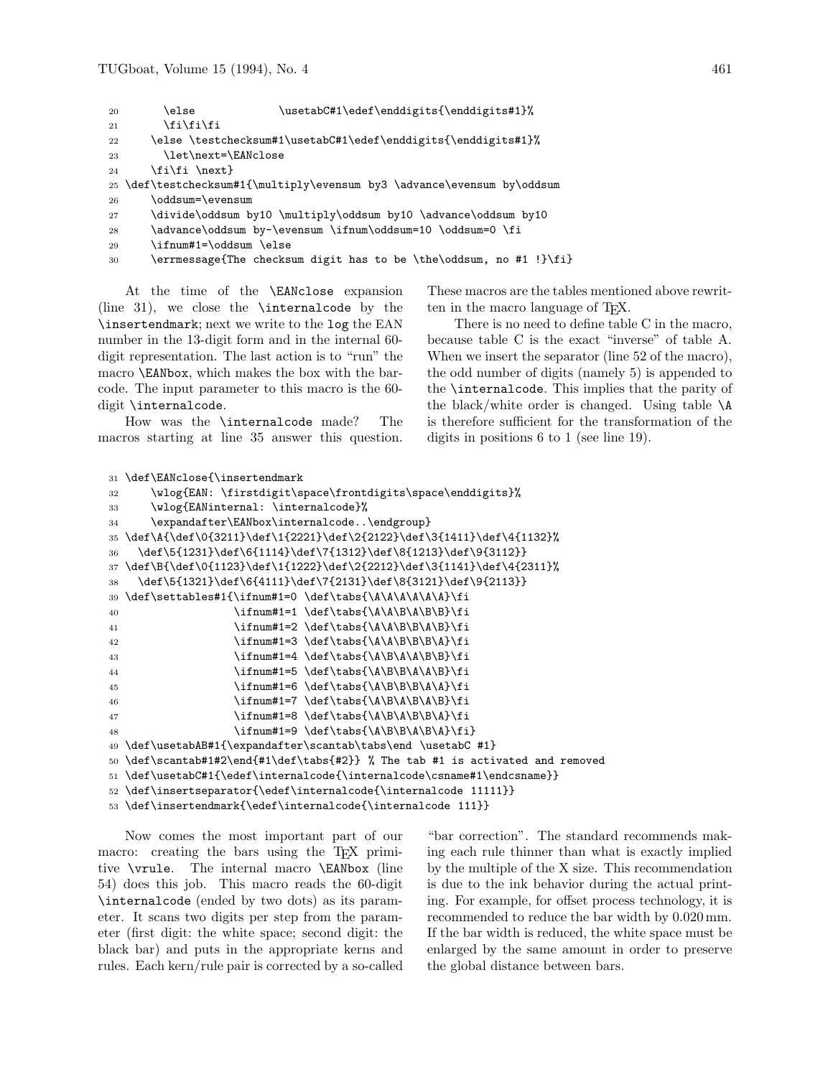```
20 \else \usetabC#1\edef\enddigits{\enddigits#1}%
```

```
21 \tilde{i}\tilde{j}
```

```
22 \else \testchecksum#1\usetabC#1\edef\enddigits{\enddigits#1}%
```
23 \let\next=\EANclose

```
24 \fi\fi \next}
```

```
25 \def\testchecksum#1{\multiply\evensum by3 \advance\evensum by\oddsum
```

```
26 \oddsum=\evensum
```

```
27 \divide\oddsum by10 \multiply\oddsum by10 \advance\oddsum by10
```

```
28 \advance\oddsum by-\evensum \ifnum\oddsum=10 \oddsum=0 \fi
```
<sup>29</sup> \ifnum#1=\oddsum \else

```
30 \errmessage{The checksum digit has to be \the\oddsum, no #1 !}\fi}
```
At the time of the \EANclose expansion (line 31), we close the \internalcode by the \insertendmark; next we write to the log the EAN number in the 13-digit form and in the internal 60 digit representation. The last action is to "run" the macro \EANbox, which makes the box with the barcode. The input parameter to this macro is the 60 digit \internalcode.

How was the \internalcode made? The macros starting at line 35 answer this question. These macros are the tables mentioned above rewritten in the macro language of TEX.

There is no need to define table C in the macro, because table C is the exact "inverse" of table A. When we insert the separator (line 52 of the macro), the odd number of digits (namely 5) is appended to the \internalcode. This implies that the parity of the black/white order is changed. Using table \A is therefore sufficient for the transformation of the digits in positions 6 to 1 (see line 19).

```
31 \def\EANclose{\insertendmark
```

```
32 \\vlog{EAN:\firstdigit\space\frontdigits\space\enddigits}%
33 \wlog{EANinternal: \internalcode}%
34 \expandafter\EANbox\internalcode..\endgroup}
35 \def\A{\def\0{3211}\def\1{2221}\def\2{2122}\def\3{1411}\def\4{1132}%
36 \def\5{1231}\def\6{1114}\def\7{1312}\def\8{1213}\def\9{3112}}
37 \def\B{\def\0{1123}\def\1{1222}\def\2{2212}\def\3{1141}\def\4{2311}%
38 \def\5{1321}\def\6{4111}\def\7{2131}\def\8{3121}\def\9{2113}}
39 \def\settables#1{\ifnum#1=0 \def\tabs{\A\A\A\A\A\A}\fi
40 \ifnum#1=1 \def\tabs{\A\A\B\A\B}\fi
41 \ifnum#1=2 \def\tabs{\A\A\B\B\A\B}\fi
42 \ifnum#1=3 \def\tabs{\A\A\B\B\B\A}\fi
43 \ifnum#1=4 \def\tabs{\A\B\A\A\B\B}\fi
44 \ifnum#1=5 \def\abs{\A\B\B\A\A\B} \fi45 \ifnum#1=6 \def\tabs{\A\B\B\A\A}\fi
46 \ifnum#1=7 \def\tabs{\A\B\A\B\A\B}\fi
47 \ifnum#1=8 \def\tabs{\A\B\A\B\A}\fi
48 \ifnum#1=9 \def\tabs{\A\B\B\A\B\A}\fi}
49 \def\usetabAB#1{\expandafter\scantab\tabs\end \usetabC #1}
50 \def\scantab#1#2\end{#1\def\tabs{#2}} % The tab #1 is activated and removed
51 \def\usetabC#1{\edef\internalcode{\internalcode\csname#1\endcsname}}
52 \def\insertseparator{\edef\internalcode{\internalcode 11111}}
53 \def\insertendmark{\edef\internalcode{\internalcode 111}}
```
Now comes the most important part of our macro: creating the bars using the TEX primitive \vrule. The internal macro \EANbox (line 54) does this job. This macro reads the 60-digit \internalcode (ended by two dots) as its parameter. It scans two digits per step from the parameter (first digit: the white space; second digit: the black bar) and puts in the appropriate kerns and rules. Each kern/rule pair is corrected by a so-called

"bar correction". The standard recommends making each rule thinner than what is exactly implied by the multiple of the X size. This recommendation is due to the ink behavior during the actual printing. For example, for offset process technology, it is recommended to reduce the bar width by 0.020mm. If the bar width is reduced, the white space must be enlarged by the same amount in order to preserve the global distance between bars.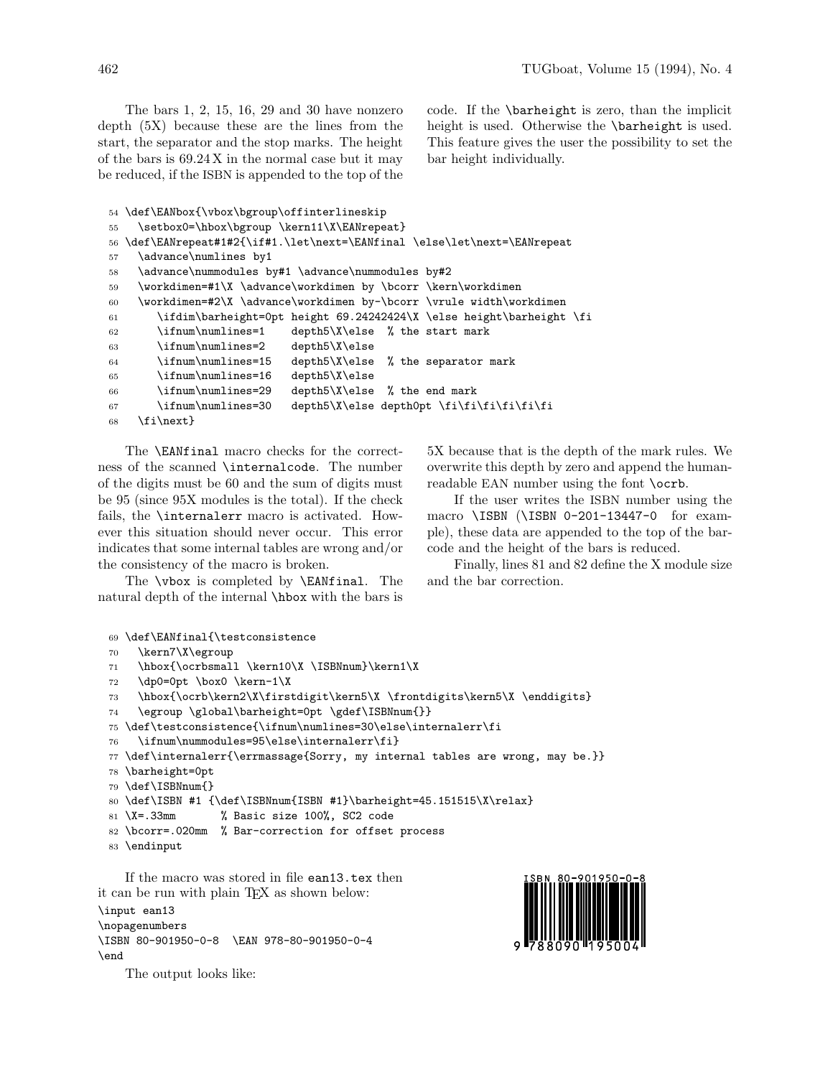The bars 1, 2, 15, 16, 29 and 30 have nonzero depth (5X) because these are the lines from the start, the separator and the stop marks. The height of the bars is 69.24X in the normal case but it may be reduced, if the ISBN is appended to the top of the code. If the \barheight is zero, than the implicit height is used. Otherwise the \barheight is used. This feature gives the user the possibility to set the bar height individually.

```
54 \def\EANbox{\vbox\bgroup\offinterlineskip
55 \setbox0=\hbox\bgroup \kern11\X\EANrepeat}
56 \def\EANrepeat#1#2{\if#1.\let\next=\EANfinal \else\let\next=\EANrepeat
57 \advance\numlines by1
58 \advance\nummodules by#1 \advance\nummodules by#2
59 \workdimen=#1\X \advance\workdimen by \bcorr \kern\workdimen
60 \workdimen=#2\X \advance\workdimen by-\bcorr \vrule width\workdimen
61 \ifdim\barheight=0pt height 69.24242424\X \else height\barheight \fi
62 \ifnum\numlines=1 depth5\X\else % the start mark
63 \ifnum\numlines=2 depth5\X\else
64 \ifnum\numlines=15 depth5\X\else % the separator mark
65 \ifnum\numlines=16 depth5\X\else
66 \ifnum\numlines=29 depth5\X\else % the end mark
67 \ifnum\numlines=30 depth5\X\else depth0pt \fi\fi\fi\fi\fi\fi\fi
68 \fi\next}
```
The \EANfinal macro checks for the correctness of the scanned \internalcode. The number of the digits must be 60 and the sum of digits must be 95 (since 95X modules is the total). If the check fails, the \internalerr macro is activated. However this situation should never occur. This error indicates that some internal tables are wrong and/or the consistency of the macro is broken.

The \vbox is completed by \EANfinal. The natural depth of the internal \hbox with the bars is 5X because that is the depth of the mark rules. We overwrite this depth by zero and append the humanreadable EAN number using the font \ocrb.

If the user writes the ISBN number using the macro \ISBN (\ISBN 0-201-13447-0 for example), these data are appended to the top of the barcode and the height of the bars is reduced.

Finally, lines 81 and 82 define the X module size and the bar correction.

```
69 \def\EANfinal{\testconsistence
```

```
70 \kern7\X\egroup
```

```
71 \hbox{\ocrbsmall \kern10\X \ISBNnum}\kern1\X
```

```
72 \dp0=0pt \box0 \kern-1\X
```

```
73 \hbox{\ocrb\kern2\X\firstdigit\kern5\X \frontdigits\kern5\X \enddigits}
```

```
74 \egroup \global\barheight=0pt \gdef\ISBNnum{}}
```

```
75 \def\testconsistence{\ifnum\numlines=30\else\internalerr\fi
```

```
76 \ifnum\nummodules=95\else\internalerr\fi}
```

```
77 \def\internalerr{\errmassage{Sorry, my internal tables are wrong, may be.}}
```

```
78 \barheight=0pt
```

```
79 \def\ISBNnum{}
```

```
80 \def\ISBN #1 {\def\ISBNnum{ISBN #1}\barheight=45.151515\X\relax}
```

```
81 \X=.33mm % Basic size 100%, SC2 code
```

```
82 \bcorr=.020mm % Bar-correction for offset process
```

```
83 \endinput
```
If the macro was stored in file ean13.tex then it can be run with plain T<sub>EX</sub> as shown below: \input ean13

\nopagenumbers \ISBN 80-901950-0-8 \EAN 978-80-901950-0-4 \end



The output looks like: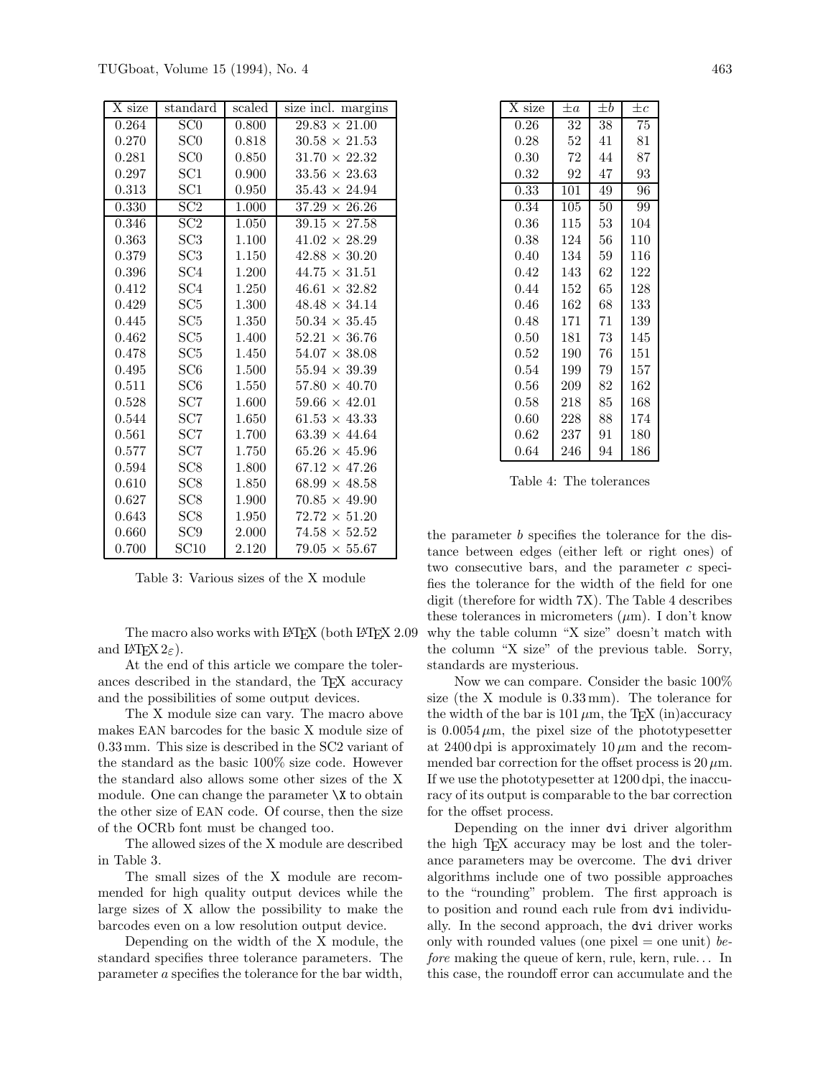| X size | standard         | scaled | size incl. margins   |
|--------|------------------|--------|----------------------|
| 0.264  | $\overline{SC0}$ | 0.800  | $29.83 \times 21.00$ |
| 0.270  | SC0              | 0.818  | $30.58 \times 21.53$ |
| 0.281  | SC0              | 0.850  | $31.70 \times 22.32$ |
| 0.297  | SC1              | 0.900  | $33.56 \times 23.63$ |
| 0.313  | SC1              | 0.950  | $35.43 \times 24.94$ |
| 0.330  | SC2              | 1.000  | $37.29 \times 26.26$ |
| 0.346  | SC2              | 1.050  | $39.15 \times 27.58$ |
| 0.363  | SC3              | 1.100  | $41.02 \times 28.29$ |
| 0.379  | SC3              | 1.150  | $42.88 \times 30.20$ |
| 0.396  | SC <sub>4</sub>  | 1.200  | $44.75 \times 31.51$ |
| 0.412  | SC <sub>4</sub>  | 1.250  | $46.61 \times 32.82$ |
| 0.429  | SC5              | 1.300  | $48.48 \times 34.14$ |
| 0.445  | SC5              | 1.350  | $50.34 \times 35.45$ |
| 0.462  | SC <sub>5</sub>  | 1.400  | $52.21 \times 36.76$ |
| 0.478  | SC5              | 1.450  | $54.07 \times 38.08$ |
| 0.495  | SC <sub>6</sub>  | 1.500  | $55.94 \times 39.39$ |
| 0.511  | SC6              | 1.550  | $57.80 \times 40.70$ |
| 0.528  | SC7              | 1.600  | $59.66 \times 42.01$ |
| 0.544  | SC7              | 1.650  | $61.53 \times 43.33$ |
| 0.561  | SC7              | 1.700  | $63.39 \times 44.64$ |
| 0.577  | SC7              | 1.750  | $65.26 \times 45.96$ |
| 0.594  | SC <sub>8</sub>  | 1.800  | $67.12 \times 47.26$ |
| 0.610  | SC <sub>8</sub>  | 1.850  | $68.99 \times 48.58$ |
| 0.627  | SC <sub>8</sub>  | 1.900  | $70.85 \times 49.90$ |
| 0.643  | SC <sub>8</sub>  | 1.950  | $72.72 \times 51.20$ |
| 0.660  | SC9              | 2.000  | $74.58 \times 52.52$ |
| 0.700  | SC10             | 2.120  | $79.05 \times 55.67$ |

Table 3: Various sizes of the X module

The macro also works with LATEX (both LATEX 2.09 and  $\text{LFT}(\text{K2}_{\epsilon})$ .

At the end of this article we compare the tolerances described in the standard, the TEX accuracy and the possibilities of some output devices.

The X module size can vary. The macro above makes EAN barcodes for the basic X module size of 0.33mm. This size is described in the SC2 variant of the standard as the basic 100% size code. However the standard also allows some other sizes of the X module. One can change the parameter  $X$  to obtain the other size of EAN code. Of course, then the size of the OCRb font must be changed too.

The allowed sizes of the X module are described in Table 3.

The small sizes of the X module are recommended for high quality output devices while the large sizes of X allow the possibility to make the barcodes even on a low resolution output device.

Depending on the width of the X module, the standard specifies three tolerance parameters. The parameter a specifies the tolerance for the bar width,

| X size   | $\pm a$ | $\pm b$ | $\pm c$ |
|----------|---------|---------|---------|
| 0.26     | 32      | 38      | 75      |
| 0.28     | 52      | 41      | 81      |
| 0.30     | 72      | 44      | 87      |
| $0.32\,$ | 92      | 47      | 93      |
| 0.33     | 101     | 49      | 96      |
| 0.34     | 105     | 50      | 99      |
| 0.36     | 115     | 53      | 104     |
| 0.38     | 124     | 56      | 110     |
| 0.40     | 134     | 59      | 116     |
| 0.42     | 143     | 62      | 122     |
| 0.44     | 152     | 65      | 128     |
| 0.46     | 162     | 68      | 133     |
| 0.48     | 171     | 71      | 139     |
| 0.50     | 181     | 73      | 145     |
| 0.52     | 190     | 76      | 151     |
| $0.54\,$ | 199     | 79      | 157     |
| $0.56\,$ | 209     | 82      | 162     |
| 0.58     | 218     | 85      | 168     |
| 0.60     | 228     | 88      | 174     |
| 0.62     | 237     | 91      | 180     |
| 0.64     | 246     | 94      | 186     |

Table 4: The tolerances

the parameter b specifies the tolerance for the distance between edges (either left or right ones) of two consecutive bars, and the parameter  $c$  specifies the tolerance for the width of the field for one digit (therefore for width 7X). The Table 4 describes these tolerances in micrometers  $(\mu m)$ . I don't know why the table column "X size" doesn't match with the column "X size" of the previous table. Sorry, standards are mysterious.

Now we can compare. Consider the basic 100% size (the X module is 0.33mm). The tolerance for the width of the bar is  $101 \mu m$ , the T<sub>E</sub>X (in)accuracy is  $0.0054 \mu m$ , the pixel size of the phototypesetter at 2400 dpi is approximately  $10 \mu m$  and the recommended bar correction for the offset process is  $20 \mu$ m. If we use the phototypesetter at 1200dpi, the inaccuracy of its output is comparable to the bar correction for the offset process.

Depending on the inner dvi driver algorithm the high T<sub>E</sub>X accuracy may be lost and the tolerance parameters may be overcome. The dvi driver algorithms include one of two possible approaches to the "rounding" problem. The first approach is to position and round each rule from dvi individually. In the second approach, the dvi driver works only with rounded values (one pixel  $=$  one unit) before making the queue of kern, rule, kern, rule... In this case, the roundoff error can accumulate and the